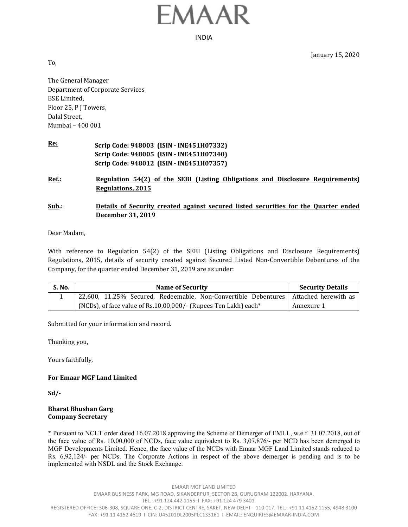

INDIA

January 15, 2020

To,

The General Manager Department of Corporate Services BSE Limited, Floor 25, P J Towers, Dalal Street, Mumbai – 400 001

| <u>Re:</u> | Scrip Code: 948003 (ISIN - INE451H07332) |
|------------|------------------------------------------|
|            | Scrip Code: 948005 (ISIN - INE451H07340) |
|            | Scrip Code: 948012 (ISIN - INE451H07357) |

**Ref.: Regulation 54(2) of the SEBI (Listing Obligations and Disclosure Requirements) Regulations, 2015**

# **Sub.: Details of Security created against secured listed securities for the Quarter ended December 31, 2019**

Dear Madam,

With reference to Regulation 54(2) of the SEBI (Listing Obligations and Disclosure Requirements) Regulations, 2015, details of security created against Secured Listed Non-Convertible Debentures of the Company, for the quarter ended December 31, 2019 are as under:

| S. No. | <b>Name of Security</b>                                                             | <b>Security Details</b> |
|--------|-------------------------------------------------------------------------------------|-------------------------|
|        | 22,600, 11.25% Secured, Redeemable, Non-Convertible Debentures Attached herewith as |                         |
|        | (NCDs), of face value of Rs.10,00,000/- (Rupees Ten Lakh) each*                     | Annexure 1              |

Submitted for your information and record.

Thanking you,

Yours faithfully,

### **For Emaar MGF Land Limited**

**Sd/‐** 

#### **Bharat Bhushan Garg Company Secretary**

**\*** Pursuant to NCLT order dated 16.07.2018 approving the Scheme of Demerger of EMLL, w.e.f. 31.07.2018, out of the face value of Rs. 10,00,000 of NCDs, face value equivalent to Rs. 3,07,876/- per NCD has been demerged to MGF Developments Limited. Hence, the face value of the NCDs with Emaar MGF Land Limited stands reduced to Rs. 6,92,124/- per NCDs. The Corporate Actions in respect of the above demerger is pending and is to be implemented with NSDL and the Stock Exchange.